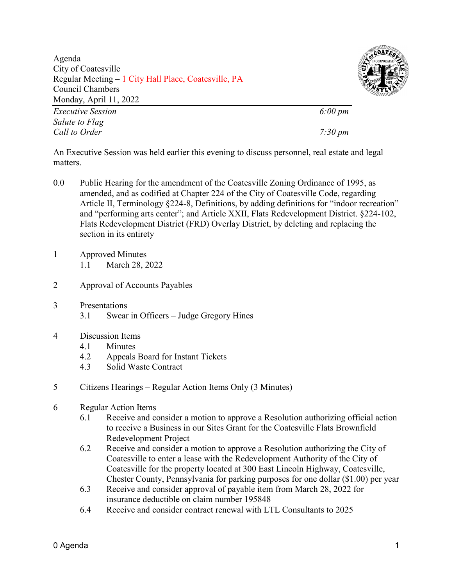Agenda City of Coatesville Regular Meeting – 1 City Hall Place, Coatesville, PA Council Chambers Monday, April 11, 2022





*Call to Order 7:30 pm*

An Executive Session was held earlier this evening to discuss personnel, real estate and legal matters.

- 0.0 Public Hearing for the amendment of the Coatesville Zoning Ordinance of 1995, as amended, and as codified at Chapter 224 of the City of Coatesville Code, regarding Article II, Terminology §224-8, Definitions, by adding definitions for "indoor recreation" and "performing arts center"; and Article XXII, Flats Redevelopment District. §224-102, Flats Redevelopment District (FRD) Overlay District, by deleting and replacing the section in its entirety
- 1 Approved Minutes 1.1 March 28, 2022
- 2 Approval of Accounts Payables
- 3 Presentations
	- 3.1 Swear in Officers Judge Gregory Hines
- 4 Discussion Items
	- 4.1 Minutes
	- 4.2 Appeals Board for Instant Tickets
	- 4.3 Solid Waste Contract
- 5 Citizens Hearings Regular Action Items Only (3 Minutes)
- 6 Regular Action Items
	- 6.1 Receive and consider a motion to approve a Resolution authorizing official action to receive a Business in our Sites Grant for the Coatesville Flats Brownfield Redevelopment Project
	- 6.2 Receive and consider a motion to approve a Resolution authorizing the City of Coatesville to enter a lease with the Redevelopment Authority of the City of Coatesville for the property located at 300 East Lincoln Highway, Coatesville, Chester County, Pennsylvania for parking purposes for one dollar (\$1.00) per year
	- 6.3 Receive and consider approval of payable item from March 28, 2022 for insurance deductible on claim number 195848
	- 6.4 Receive and consider contract renewal with LTL Consultants to 2025